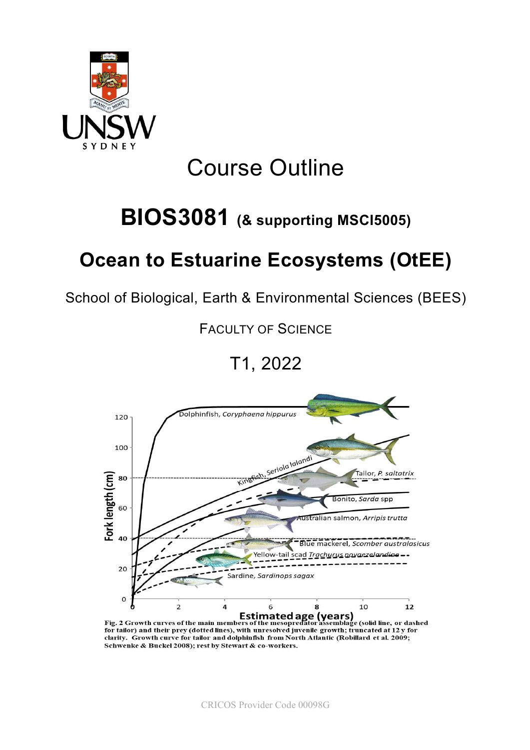

# Course Outline

# BIOS3081 (& supporting MSCI5005)

# Ocean to Estuarine Ecosystems (OtEE)

School of Biological, Earth & Environmental Sciences (BEES)

FACULTY OF SCIENCE

## T1, 2022



for tailor) and their prey (dotted lines), with unresolved juvenile growth; truncated at 12 y for clarity. Growth curve for tailor and dolphinfish from North Atlantic (Robillard et al. 2009; Schwenke & Buckel 2008); rest by Stewart & co-workers.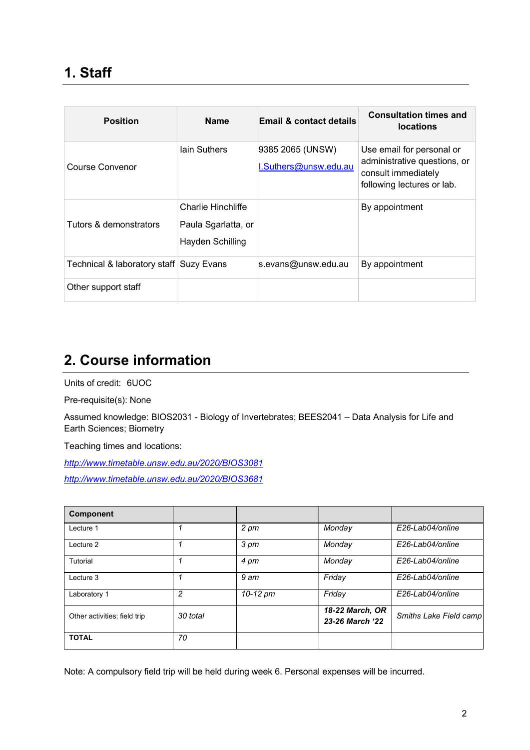| <b>Position</b>                         | <b>Name</b>                                                          | Email & contact details                   | <b>Consultation times and</b><br><b>locations</b>                                                              |
|-----------------------------------------|----------------------------------------------------------------------|-------------------------------------------|----------------------------------------------------------------------------------------------------------------|
| Course Convenor                         | lain Suthers                                                         | 9385 2065 (UNSW)<br>I.Suthers@unsw.edu.au | Use email for personal or<br>administrative questions, or<br>consult immediately<br>following lectures or lab. |
| Tutors & demonstrators                  | <b>Charlie Hinchliffe</b><br>Paula Sgarlatta, or<br>Hayden Schilling |                                           | By appointment                                                                                                 |
| Technical & laboratory staff Suzy Evans |                                                                      | s.evans@unsw.edu.au                       | By appointment                                                                                                 |
| Other support staff                     |                                                                      |                                           |                                                                                                                |

## 2. Course information

Units of credit: 6UOC

Pre-requisite(s): None

Assumed knowledge: BIOS2031 - Biology of Invertebrates; BEES2041 – Data Analysis for Life and Earth Sciences; Biometry

Teaching times and locations:

http://www.timetable.unsw.edu.au/2020/BIOS3081 http://www.timetable.unsw.edu.au/2020/BIOS3681

| <b>Component</b>             |          |          |                                    |                        |
|------------------------------|----------|----------|------------------------------------|------------------------|
| Lecture 1                    |          | 2 pm     | Monday                             | E26-Lab04/online       |
| Lecture 2                    |          | 3 pm     | Monday                             | E26-Lab04/online       |
| Tutorial                     |          | 4 pm     | Monday                             | E26-Lab04/online       |
| Lecture 3                    | 1        | 9 am     | Friday                             | E26-Lab04/online       |
| Laboratory 1                 | 2        | 10-12 pm | Friday                             | E26-Lab04/online       |
| Other activities; field trip | 30 total |          | 18-22 March, OR<br>23-26 March '22 | Smiths Lake Field camp |
| <b>TOTAL</b>                 | 70       |          |                                    |                        |

Note: A compulsory field trip will be held during week 6. Personal expenses will be incurred.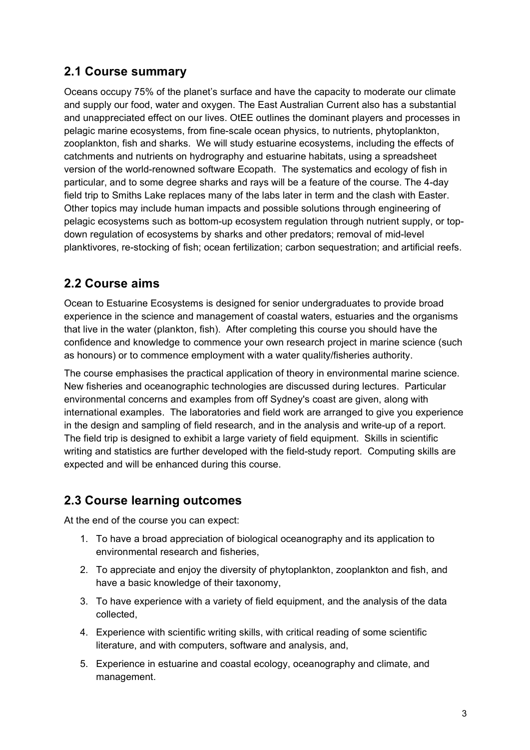#### 2.1 Course summary

Oceans occupy 75% of the planet's surface and have the capacity to moderate our climate and supply our food, water and oxygen. The East Australian Current also has a substantial and unappreciated effect on our lives. OtEE outlines the dominant players and processes in pelagic marine ecosystems, from fine-scale ocean physics, to nutrients, phytoplankton, zooplankton, fish and sharks. We will study estuarine ecosystems, including the effects of catchments and nutrients on hydrography and estuarine habitats, using a spreadsheet version of the world-renowned software Ecopath. The systematics and ecology of fish in particular, and to some degree sharks and rays will be a feature of the course. The 4-day field trip to Smiths Lake replaces many of the labs later in term and the clash with Easter. Other topics may include human impacts and possible solutions through engineering of pelagic ecosystems such as bottom-up ecosystem regulation through nutrient supply, or topdown regulation of ecosystems by sharks and other predators; removal of mid-level planktivores, re-stocking of fish; ocean fertilization; carbon sequestration; and artificial reefs.

#### 2.2 Course aims

Ocean to Estuarine Ecosystems is designed for senior undergraduates to provide broad experience in the science and management of coastal waters, estuaries and the organisms that live in the water (plankton, fish). After completing this course you should have the confidence and knowledge to commence your own research project in marine science (such as honours) or to commence employment with a water quality/fisheries authority.

The course emphasises the practical application of theory in environmental marine science. New fisheries and oceanographic technologies are discussed during lectures. Particular environmental concerns and examples from off Sydney's coast are given, along with international examples. The laboratories and field work are arranged to give you experience in the design and sampling of field research, and in the analysis and write-up of a report. The field trip is designed to exhibit a large variety of field equipment. Skills in scientific writing and statistics are further developed with the field-study report. Computing skills are expected and will be enhanced during this course.

#### 2.3 Course learning outcomes

At the end of the course you can expect:

- 1. To have a broad appreciation of biological oceanography and its application to environmental research and fisheries,
- 2. To appreciate and enjoy the diversity of phytoplankton, zooplankton and fish, and have a basic knowledge of their taxonomy,
- 3. To have experience with a variety of field equipment, and the analysis of the data collected,
- 4. Experience with scientific writing skills, with critical reading of some scientific literature, and with computers, software and analysis, and,
- 5. Experience in estuarine and coastal ecology, oceanography and climate, and management.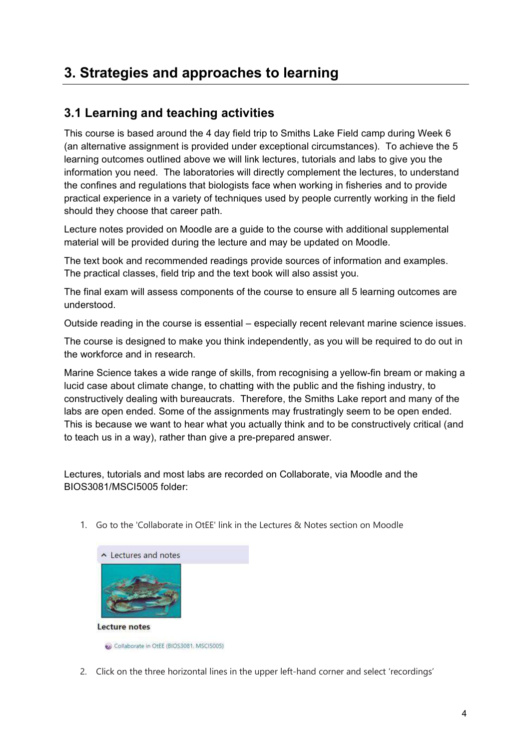### 3. Strategies and approaches to learning

#### 3.1 Learning and teaching activities

This course is based around the 4 day field trip to Smiths Lake Field camp during Week 6 (an alternative assignment is provided under exceptional circumstances). To achieve the 5 learning outcomes outlined above we will link lectures, tutorials and labs to give you the information you need. The laboratories will directly complement the lectures, to understand the confines and regulations that biologists face when working in fisheries and to provide practical experience in a variety of techniques used by people currently working in the field should they choose that career path.

Lecture notes provided on Moodle are a guide to the course with additional supplemental material will be provided during the lecture and may be updated on Moodle.

The text book and recommended readings provide sources of information and examples. The practical classes, field trip and the text book will also assist you.

The final exam will assess components of the course to ensure all 5 learning outcomes are understood.

Outside reading in the course is essential – especially recent relevant marine science issues.

The course is designed to make you think independently, as you will be required to do out in the workforce and in research.

Marine Science takes a wide range of skills, from recognising a yellow-fin bream or making a lucid case about climate change, to chatting with the public and the fishing industry, to constructively dealing with bureaucrats. Therefore, the Smiths Lake report and many of the labs are open ended. Some of the assignments may frustratingly seem to be open ended. This is because we want to hear what you actually think and to be constructively critical (and to teach us in a way), rather than give a pre-prepared answer.

Lectures, tutorials and most labs are recorded on Collaborate, via Moodle and the BIOS3081/MSCI5005 folder:

1. Go to the 'Collaborate in OtEE' link in the Lectures & Notes section on Moodle



Collaborate in OtEE (BIOS3081, MSCI5005)

2. Click on the three horizontal lines in the upper left-hand corner and select 'recordings'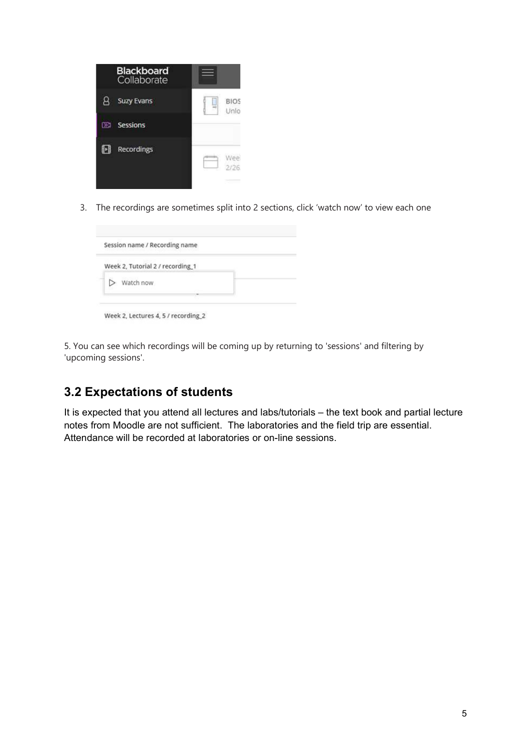|     | <b>Blackboard</b><br>Collaborate |                     |
|-----|----------------------------------|---------------------|
|     | <b>Suzy Evans</b>                | <b>BIOS</b><br>Unlo |
| DB) | <b>Sessions</b>                  |                     |
|     | <b>Recordings</b>                | Wee<br>2/26         |

3. The recordings are sometimes split into 2 sections, click 'watch now' to view each one

| Session name / Recording name    |  |
|----------------------------------|--|
| Week 2, Tutorial 2 / recording_1 |  |
| Watch now                        |  |
|                                  |  |

5. You can see which recordings will be coming up by returning to 'sessions' and filtering by 'upcoming sessions'.

#### 3.2 Expectations of students

It is expected that you attend all lectures and labs/tutorials – the text book and partial lecture notes from Moodle are not sufficient. The laboratories and the field trip are essential. Attendance will be recorded at laboratories or on-line sessions.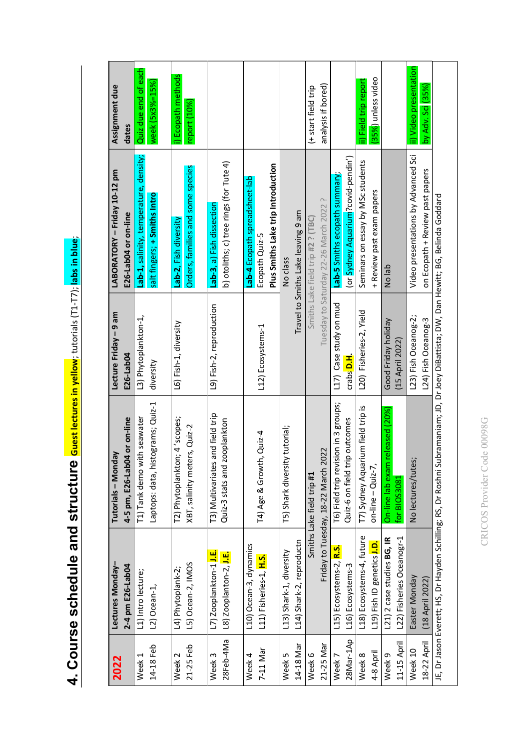| week $(5x3\% = 15\%)$<br>Video presentations by Advanced Sci<br>Lab-1, salinity, temperature, density;<br>(or Sydney Aquarium?covid-pendin')<br>Seminars on essay by MSc students<br>b) otoliths; c) tree rings (for Tute 4)<br>Plus Smiths Lake trip Introduction<br>Orders, families and some species<br>Lab-5 Smiths ecopath summary;<br>Lab-4 Ecopath spreadsheet-lab<br>+ Review past exam papers<br>salt fingers; + Smiths Intro<br>Tuesday to Saturday 22-26 March 2022?<br>Lab-3, a) Fish dissection<br>Travel to Smiths Lake leaving 9 am<br>Smiths Lake field trip #2 ? (TBC)<br>Lab-2, Fish diversity<br>Ecopath Quiz-5<br>No class<br>No lab<br>L17) Case study on mud<br>L9) Fish-2, reproduction<br>L20) Fisheries-2, Yield<br>L3) Phytoplankton-1,<br>L23) Fish Oceanog-2;<br>Good Friday holiday<br>L6) Fish-1, diversity<br>L12) Ecosystems-1<br>(15 April 2022)<br>crabs D.H.<br>diversity<br>Laptops: data, histograms; Quiz-1<br>T6) Field trip revision in 3 groups;<br>T7) Sydney Aquarium field trip is<br>On-line lab exam released (20%)<br>T3) Multivariates and field trip<br>T2) Phytoplankton; 4 'scopes;<br>T1) Tank demo with seawater<br>Quiz-3 stats and zooplankton<br>Quiz-6 on field trip outcomes<br>XBT, salinity meters, Quiz-2<br>T5) Shark diversity tutorial;<br>$T4$ ) Age & Growth, Quiz-4<br>Friday to Tuesday, 18-22 March 2022<br>No lectures/tutes;<br>$on$ -line – Quiz-7,<br>Smiths Lake field trip #1<br>for BIOS3081<br>L18) Ecosystems-4, future<br>L22) Fisheries Oceanogr-1<br>L21) 2 case studies BG, IR<br>L14) Shark-2, reproductn<br>L19) Fish ID genetics J.D.<br>L10) Ocean-3, dynamics<br>L15) Ecosystems-2, R.S.<br>L13) Shark-1, diversity<br>L7) Zooplankton-1 J.E.<br>L8) Zooplanton-2, J.E.<br>L11) Fisheries-1, H.S.<br>L5) Ocean-2, IMOS<br>L16) Ecosystems-3<br>L4) Phytoplank-2;<br>L1) Intro lecture;<br>Easter Monday<br>L2) Ocean-1,<br>14-18 Feb<br>Week <sub>1</sub> | 4-5 pm, E26-Lab04 or on-line<br>Tutorials - Monday | Lecture Friday - 9 am<br>E26-Lab04 | LABORATORY - Friday 10-12 pm<br>E26-Lab04 or on-line | Assignment due<br>dates                   |
|--------------------------------------------------------------------------------------------------------------------------------------------------------------------------------------------------------------------------------------------------------------------------------------------------------------------------------------------------------------------------------------------------------------------------------------------------------------------------------------------------------------------------------------------------------------------------------------------------------------------------------------------------------------------------------------------------------------------------------------------------------------------------------------------------------------------------------------------------------------------------------------------------------------------------------------------------------------------------------------------------------------------------------------------------------------------------------------------------------------------------------------------------------------------------------------------------------------------------------------------------------------------------------------------------------------------------------------------------------------------------------------------------------------------------------------------------------------------------------------------------------------------------------------------------------------------------------------------------------------------------------------------------------------------------------------------------------------------------------------------------------------------------------------------------------------------------------------------------------------------------------------------------------------------------------------------------|----------------------------------------------------|------------------------------------|------------------------------------------------------|-------------------------------------------|
|                                                                                                                                                                                                                                                                                                                                                                                                                                                                                                                                                                                                                                                                                                                                                                                                                                                                                                                                                                                                                                                                                                                                                                                                                                                                                                                                                                                                                                                                                                                                                                                                                                                                                                                                                                                                                                                                                                                                                  |                                                    |                                    |                                                      | Quiz due end of each                      |
| 21-25 Feb<br>Week <sub>2</sub>                                                                                                                                                                                                                                                                                                                                                                                                                                                                                                                                                                                                                                                                                                                                                                                                                                                                                                                                                                                                                                                                                                                                                                                                                                                                                                                                                                                                                                                                                                                                                                                                                                                                                                                                                                                                                                                                                                                   |                                                    |                                    |                                                      |                                           |
| 28Feb-4Ma<br>Week <sub>3</sub>                                                                                                                                                                                                                                                                                                                                                                                                                                                                                                                                                                                                                                                                                                                                                                                                                                                                                                                                                                                                                                                                                                                                                                                                                                                                                                                                                                                                                                                                                                                                                                                                                                                                                                                                                                                                                                                                                                                   |                                                    |                                    |                                                      | i) Ecopath methods<br>report (10%)        |
| 28Mar-1Ap<br>21-25 Mar<br>14-18 Mar<br>7-11 Mar<br>Week 6<br>Week 4<br>Week 5<br>Week <sub>7</sub>                                                                                                                                                                                                                                                                                                                                                                                                                                                                                                                                                                                                                                                                                                                                                                                                                                                                                                                                                                                                                                                                                                                                                                                                                                                                                                                                                                                                                                                                                                                                                                                                                                                                                                                                                                                                                                               |                                                    |                                    |                                                      |                                           |
|                                                                                                                                                                                                                                                                                                                                                                                                                                                                                                                                                                                                                                                                                                                                                                                                                                                                                                                                                                                                                                                                                                                                                                                                                                                                                                                                                                                                                                                                                                                                                                                                                                                                                                                                                                                                                                                                                                                                                  |                                                    |                                    |                                                      |                                           |
|                                                                                                                                                                                                                                                                                                                                                                                                                                                                                                                                                                                                                                                                                                                                                                                                                                                                                                                                                                                                                                                                                                                                                                                                                                                                                                                                                                                                                                                                                                                                                                                                                                                                                                                                                                                                                                                                                                                                                  |                                                    |                                    |                                                      |                                           |
|                                                                                                                                                                                                                                                                                                                                                                                                                                                                                                                                                                                                                                                                                                                                                                                                                                                                                                                                                                                                                                                                                                                                                                                                                                                                                                                                                                                                                                                                                                                                                                                                                                                                                                                                                                                                                                                                                                                                                  |                                                    |                                    |                                                      |                                           |
|                                                                                                                                                                                                                                                                                                                                                                                                                                                                                                                                                                                                                                                                                                                                                                                                                                                                                                                                                                                                                                                                                                                                                                                                                                                                                                                                                                                                                                                                                                                                                                                                                                                                                                                                                                                                                                                                                                                                                  |                                                    |                                    |                                                      | analysis if bored)<br>(+ start field trip |
| Week 8                                                                                                                                                                                                                                                                                                                                                                                                                                                                                                                                                                                                                                                                                                                                                                                                                                                                                                                                                                                                                                                                                                                                                                                                                                                                                                                                                                                                                                                                                                                                                                                                                                                                                                                                                                                                                                                                                                                                           |                                                    |                                    |                                                      |                                           |
| 4-8 April                                                                                                                                                                                                                                                                                                                                                                                                                                                                                                                                                                                                                                                                                                                                                                                                                                                                                                                                                                                                                                                                                                                                                                                                                                                                                                                                                                                                                                                                                                                                                                                                                                                                                                                                                                                                                                                                                                                                        |                                                    |                                    |                                                      | ii) Field trip report                     |
| 11-15 April<br>Week 9                                                                                                                                                                                                                                                                                                                                                                                                                                                                                                                                                                                                                                                                                                                                                                                                                                                                                                                                                                                                                                                                                                                                                                                                                                                                                                                                                                                                                                                                                                                                                                                                                                                                                                                                                                                                                                                                                                                            |                                                    |                                    |                                                      | (35%) unless video                        |
| Week 10                                                                                                                                                                                                                                                                                                                                                                                                                                                                                                                                                                                                                                                                                                                                                                                                                                                                                                                                                                                                                                                                                                                                                                                                                                                                                                                                                                                                                                                                                                                                                                                                                                                                                                                                                                                                                                                                                                                                          |                                                    |                                    |                                                      |                                           |
|                                                                                                                                                                                                                                                                                                                                                                                                                                                                                                                                                                                                                                                                                                                                                                                                                                                                                                                                                                                                                                                                                                                                                                                                                                                                                                                                                                                                                                                                                                                                                                                                                                                                                                                                                                                                                                                                                                                                                  |                                                    |                                    |                                                      | ii) Video presentation                    |
| on Ecopath + Review past papers<br>L24) Fish Oceanog-3<br>(18 April 2022)<br>18-22 April                                                                                                                                                                                                                                                                                                                                                                                                                                                                                                                                                                                                                                                                                                                                                                                                                                                                                                                                                                                                                                                                                                                                                                                                                                                                                                                                                                                                                                                                                                                                                                                                                                                                                                                                                                                                                                                         |                                                    |                                    |                                                      | by Adv. Sci (35%)                         |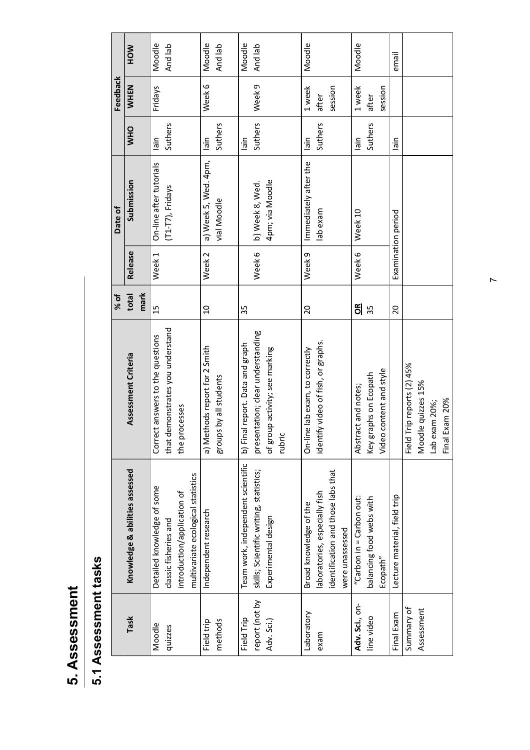| г<br>٦ |
|--------|
|        |
|        |
|        |
| o      |
| Ø<br>ŋ |
| ť<br>٦ |
| Ø      |
| t      |
|        |
| e      |
|        |
|        |
|        |

|                                            |                                                                                                                          |                                                                                                                  | % of                |                   | Date of                                        |                           | Feedback                   |                   |
|--------------------------------------------|--------------------------------------------------------------------------------------------------------------------------|------------------------------------------------------------------------------------------------------------------|---------------------|-------------------|------------------------------------------------|---------------------------|----------------------------|-------------------|
| Task                                       | Knowledge & abilities assessed                                                                                           | Assessment Criteria                                                                                              | mark<br>total       | Release           | Submission                                     | <b>OHM</b>                | <b>WHEN</b>                | <b>MOH</b>        |
| Moodle<br>quizzes                          | multivariate ecological statistics<br>Detailed knowledge of some<br>introduction/application of<br>classic fisheries and | that demonstrates you understand<br>Correct answers to the questions<br>the processes                            | 15                  | Week <sub>1</sub> | On-line after tutorials<br>$(T1-T7)$ , Fridays | Suthers<br>niisl          | Fridays                    | Moodle<br>And lab |
| methods<br>Field trip                      | Independent research                                                                                                     | a) Methods report for 2 Smith<br>groups by all students                                                          | $\overline{a}$      | Week <sub>2</sub> | a) Week 5, Wed. 4pm,<br>vial Moodle            | Suthers<br>niisl          | Week 6                     | Moodle<br>And lab |
| report (not by<br>Field Trip<br>Adv. Sci.) | Team work, independent scientific<br>skills; Scientific writing, statistics;<br>Experimental design                      | presentation; clear understanding<br>b) Final report. Data and graph<br>of group activity; see marking<br>rubric | 35                  | Week 6            | 4pm; via Moodle<br>b) Week 8, Wed.             | Suthers<br>niisl          | Week 9                     | Moodle<br>And lab |
| Laboratory<br>exam                         | identification and those labs that<br>laboratories, especially fish<br>Broad knowledge of the<br>were unassessed         | identify video of fish, or graphs.<br>On-line lab exam, to correctly                                             | $\overline{c}$      | Week <sub>9</sub> | Immediately after the<br>lab exam              | Suthers<br>lain           | 1 week<br>session<br>after | Moodle            |
| Adv. Sci., on-<br>line video               | "Carbon in = Carbon out:<br>balancing food webs with<br>Ecopath"                                                         | content and style<br>aphs on Ecopath<br>Abstract and notes;<br>Key gr<br>Video                                   | $\frac{1}{2}$<br>35 | Week 6            | Week 10                                        | Suthers<br>$\frac{1}{16}$ | 1 week<br>session<br>after | Moodle            |
| Final Exam                                 | Lecture material, field trip                                                                                             |                                                                                                                  | 20                  |                   | Examination period                             | lain                      |                            | email             |
| Summary of<br>Assessment                   |                                                                                                                          | Field Trip reports (2) 45%<br>Moodle quizzes 15%<br>Final Exam 20%<br>Lab exam 20%;                              |                     |                   |                                                |                           |                            |                   |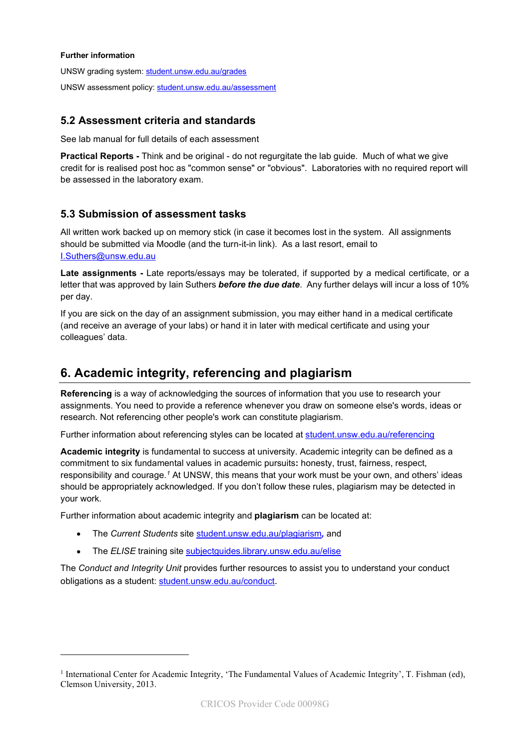#### Further information

UNSW grading system: student.unsw.edu.au/grades UNSW assessment policy: student.unsw.edu.au/assessment

#### 5.2 Assessment criteria and standards

See lab manual for full details of each assessment

Practical Reports - Think and be original - do not regurgitate the lab guide. Much of what we give credit for is realised post hoc as "common sense" or "obvious". Laboratories with no required report will be assessed in the laboratory exam.

#### 5.3 Submission of assessment tasks

All written work backed up on memory stick (in case it becomes lost in the system. All assignments should be submitted via Moodle (and the turn-it-in link). As a last resort, email to I.Suthers@unsw.edu.au

Late assignments - Late reports/essays may be tolerated, if supported by a medical certificate, or a letter that was approved by Iain Suthers **before the due date**. Any further delays will incur a loss of 10% per day.

If you are sick on the day of an assignment submission, you may either hand in a medical certificate (and receive an average of your labs) or hand it in later with medical certificate and using your colleagues' data.

#### 6. Academic integrity, referencing and plagiarism

Referencing is a way of acknowledging the sources of information that you use to research your assignments. You need to provide a reference whenever you draw on someone else's words, ideas or research. Not referencing other people's work can constitute plagiarism.

Further information about referencing styles can be located at student.unsw.edu.au/referencing

Academic integrity is fundamental to success at university. Academic integrity can be defined as a commitment to six fundamental values in academic pursuits: honesty, trust, fairness, respect, responsibility and courage.<sup>1</sup> At UNSW, this means that your work must be your own, and others' ideas should be appropriately acknowledged. If you don't follow these rules, plagiarism may be detected in your work.

Further information about academic integrity and plagiarism can be located at:

- The Current Students site student.unsw.edu.au/plagiarism, and
- The ELISE training site subjectguides.library.unsw.edu.au/elise

The Conduct and Integrity Unit provides further resources to assist you to understand your conduct obligations as a student: student.unsw.edu.au/conduct.

<sup>&</sup>lt;sup>1</sup> International Center for Academic Integrity, 'The Fundamental Values of Academic Integrity', T. Fishman (ed), Clemson University, 2013.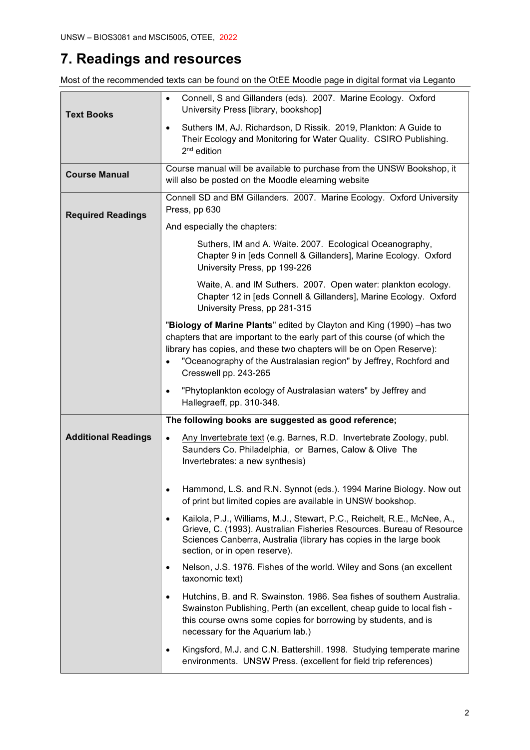## 7. Readings and resources

Most of the recommended texts can be found on the OtEE Moodle page in digital format via Leganto

|                            | Connell, S and Gillanders (eds). 2007. Marine Ecology. Oxford<br>$\bullet$<br>University Press [library, bookshop]                                                                                                                                                                                                          |
|----------------------------|-----------------------------------------------------------------------------------------------------------------------------------------------------------------------------------------------------------------------------------------------------------------------------------------------------------------------------|
| <b>Text Books</b>          | Suthers IM, AJ. Richardson, D Rissik. 2019, Plankton: A Guide to<br>$\bullet$<br>Their Ecology and Monitoring for Water Quality. CSIRO Publishing.<br>$2nd$ edition                                                                                                                                                         |
| <b>Course Manual</b>       | Course manual will be available to purchase from the UNSW Bookshop, it<br>will also be posted on the Moodle elearning website                                                                                                                                                                                               |
| <b>Required Readings</b>   | Connell SD and BM Gillanders. 2007. Marine Ecology. Oxford University<br>Press, pp 630                                                                                                                                                                                                                                      |
|                            | And especially the chapters:                                                                                                                                                                                                                                                                                                |
|                            | Suthers, IM and A. Waite. 2007. Ecological Oceanography,<br>Chapter 9 in [eds Connell & Gillanders], Marine Ecology. Oxford<br>University Press, pp 199-226                                                                                                                                                                 |
|                            | Waite, A. and IM Suthers. 2007. Open water: plankton ecology.<br>Chapter 12 in [eds Connell & Gillanders], Marine Ecology. Oxford<br>University Press, pp 281-315                                                                                                                                                           |
|                            | "Biology of Marine Plants" edited by Clayton and King (1990) - has two<br>chapters that are important to the early part of this course (of which the<br>library has copies, and these two chapters will be on Open Reserve):<br>"Oceanography of the Australasian region" by Jeffrey, Rochford and<br>Cresswell pp. 243-265 |
|                            | "Phytoplankton ecology of Australasian waters" by Jeffrey and<br>$\bullet$<br>Hallegraeff, pp. 310-348.                                                                                                                                                                                                                     |
|                            | The following books are suggested as good reference;                                                                                                                                                                                                                                                                        |
| <b>Additional Readings</b> | Any Invertebrate text (e.g. Barnes, R.D. Invertebrate Zoology, publ.<br>Saunders Co. Philadelphia, or Barnes, Calow & Olive The<br>Invertebrates: a new synthesis)                                                                                                                                                          |
|                            | Hammond, L.S. and R.N. Synnot (eds.). 1994 Marine Biology. Now out<br>٠<br>of print but limited copies are available in UNSW bookshop.                                                                                                                                                                                      |
|                            | Kailola, P.J., Williams, M.J., Stewart, P.C., Reichelt, R.E., McNee, A.,<br>$\bullet$<br>Grieve, C. (1993). Australian Fisheries Resources. Bureau of Resource<br>Sciences Canberra, Australia (library has copies in the large book<br>section, or in open reserve).                                                       |
|                            | Nelson, J.S. 1976. Fishes of the world. Wiley and Sons (an excellent<br>٠<br>taxonomic text)                                                                                                                                                                                                                                |
|                            | Hutchins, B. and R. Swainston. 1986. Sea fishes of southern Australia.<br>٠<br>Swainston Publishing, Perth (an excellent, cheap guide to local fish -<br>this course owns some copies for borrowing by students, and is<br>necessary for the Aquarium lab.)                                                                 |
|                            | Kingsford, M.J. and C.N. Battershill. 1998. Studying temperate marine<br>٠<br>environments. UNSW Press. (excellent for field trip references)                                                                                                                                                                               |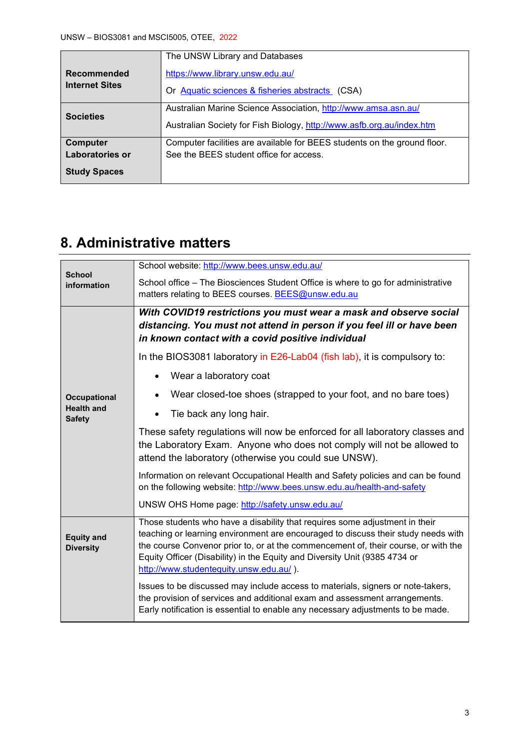|                       | The UNSW Library and Databases                                           |
|-----------------------|--------------------------------------------------------------------------|
| <b>Recommended</b>    | https://www.library.unsw.edu.au/                                         |
| <b>Internet Sites</b> | Or Aquatic sciences & fisheries abstracts (CSA)                          |
|                       | Australian Marine Science Association, http://www.amsa.asn.au/           |
| <b>Societies</b>      | Australian Society for Fish Biology, http://www.asfb.org.au/index.htm    |
| Computer              | Computer facilities are available for BEES students on the ground floor. |
| Laboratories or       | See the BEES student office for access.                                  |
| <b>Study Spaces</b>   |                                                                          |

## 8. Administrative matters

| <b>School</b>                         | School website: http://www.bees.unsw.edu.au/                                                                                                                                                                                                                                                                                                                                    |  |  |  |
|---------------------------------------|---------------------------------------------------------------------------------------------------------------------------------------------------------------------------------------------------------------------------------------------------------------------------------------------------------------------------------------------------------------------------------|--|--|--|
| information                           | School office - The Biosciences Student Office is where to go for administrative                                                                                                                                                                                                                                                                                                |  |  |  |
|                                       | matters relating to BEES courses. BEES@unsw.edu.au                                                                                                                                                                                                                                                                                                                              |  |  |  |
|                                       | With COVID19 restrictions you must wear a mask and observe social<br>distancing. You must not attend in person if you feel ill or have been<br>in known contact with a covid positive individual                                                                                                                                                                                |  |  |  |
|                                       | In the BIOS3081 laboratory in E26-Lab04 (fish lab), it is compulsory to:                                                                                                                                                                                                                                                                                                        |  |  |  |
|                                       | Wear a laboratory coat<br>$\bullet$                                                                                                                                                                                                                                                                                                                                             |  |  |  |
| <b>Occupational</b>                   | Wear closed-toe shoes (strapped to your foot, and no bare toes)                                                                                                                                                                                                                                                                                                                 |  |  |  |
| <b>Health and</b><br><b>Safety</b>    | Tie back any long hair.                                                                                                                                                                                                                                                                                                                                                         |  |  |  |
|                                       | These safety regulations will now be enforced for all laboratory classes and<br>the Laboratory Exam. Anyone who does not comply will not be allowed to<br>attend the laboratory (otherwise you could sue UNSW).                                                                                                                                                                 |  |  |  |
|                                       | Information on relevant Occupational Health and Safety policies and can be found<br>on the following website: http://www.bees.unsw.edu.au/health-and-safety                                                                                                                                                                                                                     |  |  |  |
|                                       | UNSW OHS Home page: http://safety.unsw.edu.au/                                                                                                                                                                                                                                                                                                                                  |  |  |  |
| <b>Equity and</b><br><b>Diversity</b> | Those students who have a disability that requires some adjustment in their<br>teaching or learning environment are encouraged to discuss their study needs with<br>the course Convenor prior to, or at the commencement of, their course, or with the<br>Equity Officer (Disability) in the Equity and Diversity Unit (9385 4734 or<br>http://www.studentequity.unsw.edu.au/). |  |  |  |
|                                       | Issues to be discussed may include access to materials, signers or note-takers,<br>the provision of services and additional exam and assessment arrangements.<br>Early notification is essential to enable any necessary adjustments to be made.                                                                                                                                |  |  |  |